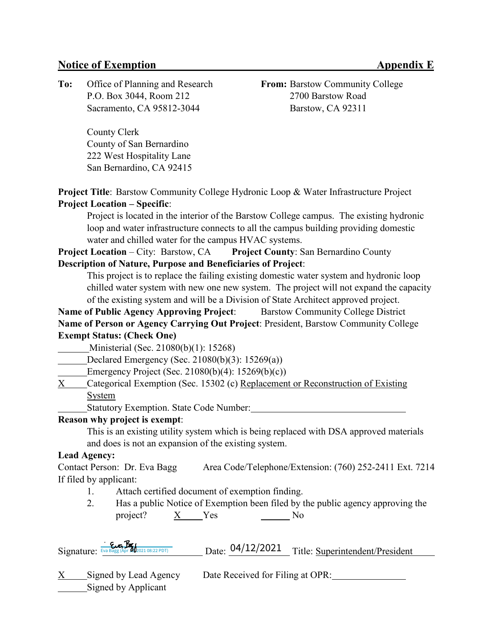## **Notice of Exemption Appendix E**

**To:** Office of Planning and Research **From:** Barstow Community College P.O. Box 3044, Room 212 2700 Barstow Road Sacramento, CA 95812-3044 Barstow, CA 92311

County Clerk County of San Bernardino 222 West Hospitality Lane San Bernardino, CA 92415

**Project Title:** Barstow Community College Hydronic Loop & Water Infrastructure Project **Project Location – Specific**:

Project is located in the interior of the Barstow College campus. The existing hydronic loop and water infrastructure connects to all the campus building providing domestic water and chilled water for the campus HVAC systems.

**Project Location** – City: Barstow, CA **Project County**: San Bernardino County **Description of Nature, Purpose and Beneficiaries of Project**:

This project is to replace the failing existing domestic water system and hydronic loop chilled water system with new one new system. The project will not expand the capacity of the existing system and will be a Division of State Architect approved project.

**Name of Public Agency Approving Project**: Barstow Community College District **Name of Person or Agency Carrying Out Project**: President, Barstow Community College **Exempt Status: (Check One)**

Ministerial (Sec. 21080(b)(1): 15268)

Declared Emergency (Sec. 21080(b)(3): 15269(a))

Emergency Project (Sec. 21080(b)(4): 15269(b)(c))

X Categorical Exemption (Sec. 15302 (c) Replacement or Reconstruction of Existing System

Statutory Exemption. State Code Number:

### **Reason why project is exempt**:

This is an existing utility system which is being replaced with DSA approved materials and does is not an expansion of the existing system.

#### **Lead Agency:**

Contact Person: Dr. Eva Bagg Area Code/Telephone/Extension: (760) 252-2411 Ext. 7214 If filed by applicant:

- 1. Attach certified document of exemption finding.
- 2. Has a public Notice of Exemption been filed by the public agency approving the project?  $X$  Yes  $N_0$

| Signature: Eva Bagg (Apr 202021 08:22 PDT) | Date: $04/12/2021$ Title: Superintendent/President |
|--------------------------------------------|----------------------------------------------------|
|                                            |                                                    |

Signed by Applicant

X Signed by Lead Agency Date Received for Filing at OPR: